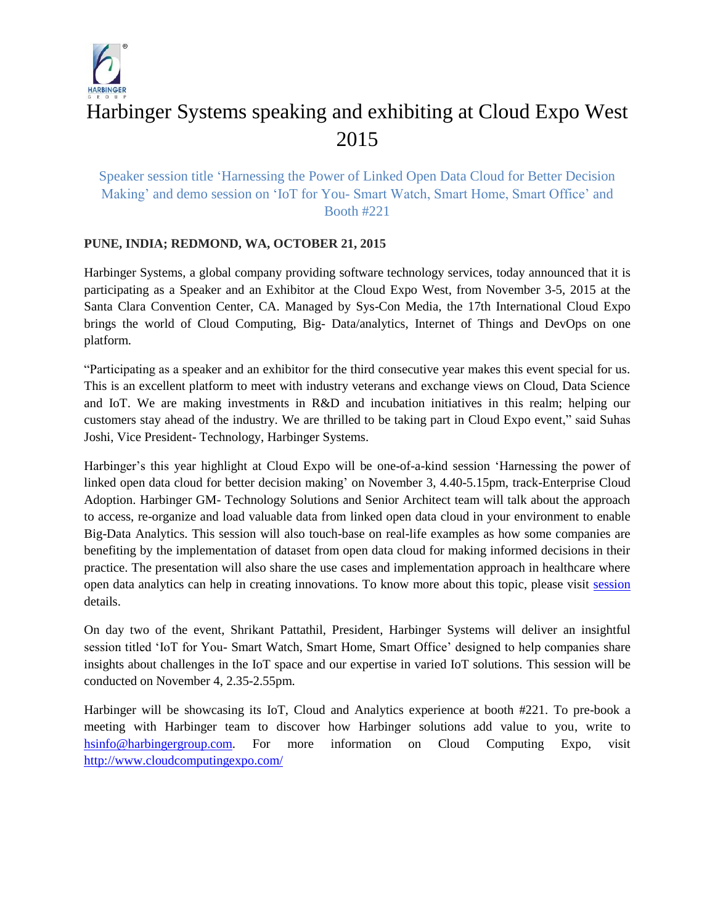

## Harbinger Systems speaking and exhibiting at Cloud Expo West 2015

## Speaker session title 'Harnessing the Power of Linked Open Data Cloud for Better Decision Making' and demo session on 'IoT for You- Smart Watch, Smart Home, Smart Office' and Booth #221

## **PUNE, INDIA; REDMOND, WA, OCTOBER 21, 2015**

Harbinger Systems, a global company providing software technology services, today announced that it is participating as a Speaker and an Exhibitor at the Cloud Expo West, from November 3-5, 2015 at the Santa Clara Convention Center, CA. Managed by Sys-Con Media, the 17th International Cloud Expo brings the world of Cloud Computing, Big- Data/analytics, Internet of Things and DevOps on one platform.

"Participating as a speaker and an exhibitor for the third consecutive year makes this event special for us. This is an excellent platform to meet with industry veterans and exchange views on Cloud, Data Science and IoT. We are making investments in R&D and incubation initiatives in this realm; helping our customers stay ahead of the industry. We are thrilled to be taking part in Cloud Expo event," said Suhas Joshi, Vice President- Technology, Harbinger Systems.

Harbinger's this year highlight at Cloud Expo will be one-of-a-kind session 'Harnessing the power of linked open data cloud for better decision making' on November 3, 4.40-5.15pm, track-Enterprise Cloud Adoption. Harbinger GM- Technology Solutions and Senior Architect team will talk about the approach to access, re-organize and load valuable data from linked open data cloud in your environment to enable Big-Data Analytics. This session will also touch-base on real-life examples as how some companies are benefiting by the implementation of dataset from open data cloud for making informed decisions in their practice. The presentation will also share the use cases and implementation approach in healthcare where open data analytics can help in creating innovations. To know more about this topic, please visit [session](http://www.cloudcomputingexpo.com/event/session/2966) details.

On day two of the event, Shrikant Pattathil, President, Harbinger Systems will deliver an insightful session titled 'IoT for You- Smart Watch, Smart Home, Smart Office' designed to help companies share insights about challenges in the IoT space and our expertise in varied IoT solutions. This session will be conducted on November 4, 2.35-2.55pm.

Harbinger will be showcasing its IoT, Cloud and Analytics experience at booth #221. To pre-book a meeting with Harbinger team to discover how Harbinger solutions add value to you, write to [hsinfo@harbingergroup.com.](mailto:hsinfo@harbingergroup.com) For more information on Cloud Computing Expo, visit <http://www.cloudcomputingexpo.com/>